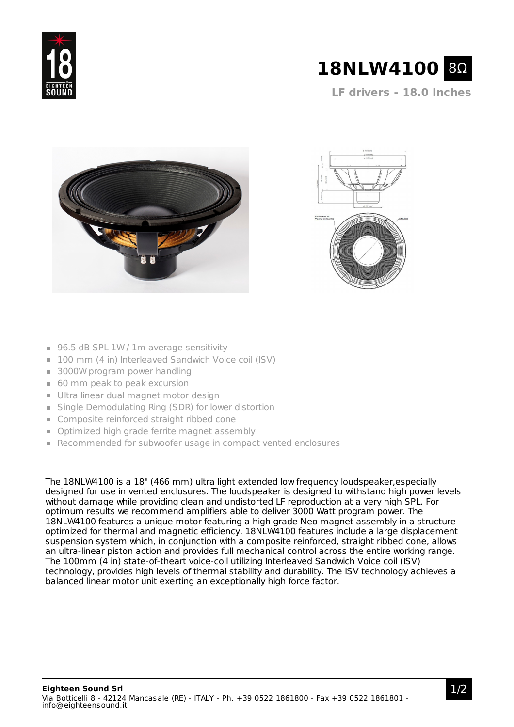



**LF drivers - 18.0 Inches**





- 96.5 dB SPL 1W / 1m average sensitivity
- 100 mm (4 in) Interleaved Sandwich Voice coil (ISV)
- 3000W program power handling
- 60 mm peak to peak excursion
- Ultra linear dual magnet motor design
- Single Demodulating Ring (SDR) for lower distortion
- **Composite reinforced straight ribbed cone**
- **Optimized high grade ferrite magnet assembly**
- Recommended for subwoofer usage in compact vented enclosures

The 18NLW4100 is a 18" (466 mm) ultra light extended low frequency loudspeaker,especially designed for use in vented enclosures. The loudspeaker is designed to withstand high power levels without damage while providing clean and undistorted LF reproduction at a very high SPL. For optimum results we recommend amplifiers able to deliver 3000 Watt program power. The 18NLW4100 features a unique motor featuring a high grade Neo magnet assembly in a structure optimized for thermal and magnetic efficiency. 18NLW4100 features include a large displacement suspension system which, in conjunction with a composite reinforced, straight ribbed cone, allows an ultra-linear piston action and provides full mechanical control across the entire working range. The 100mm (4 in) state-of-theart voice-coil utilizing Interleaved Sandwich Voice coil (ISV) technology, provides high levels of thermal stability and durability. The ISV technology achieves a balanced linear motor unit exerting an exceptionally high force factor.